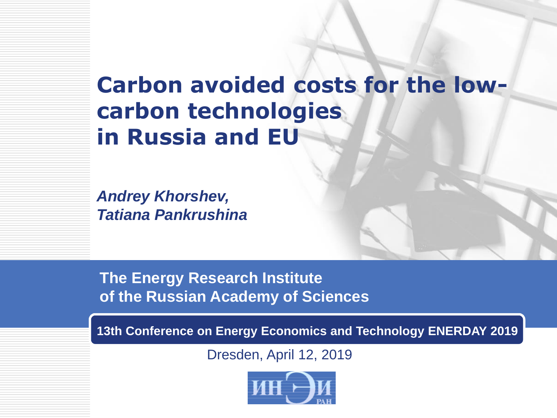## **Carbon avoided costs for the lowcarbon technologies in Russia and EU**

*Andrey Khorshev, Tatiana Pankrushina*

**The Energy Research Institute of the Russian Academy of Sciences**

**13th Conference on Energy Economics and Technology ENERDAY 2019**

Dresden, April 12, 2019

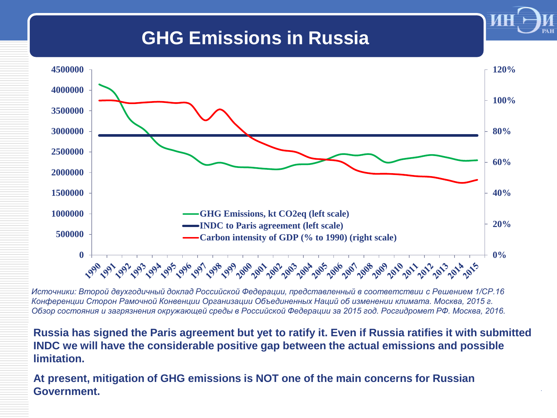## **GHG Emissions in Russia**



**LOGO** 

*Источники: Второй двухгодичный доклад Российской Федерации, представленный в соответствии с Решением 1/СР.16 Конференции Сторон Рамочной Конвенции Организации Объединенных Наций об изменении климата. Москва, 2015 г. Обзор состояния и загрязнения окружающей среды в Российской Федерации за 2015 год. Росгидромет РФ. Москва, 2016.*

**Russia has signed the Paris agreement but yet to ratify it. Even if Russia ratifies it with submitted INDC we will have the considerable positive gap between the actual emissions and possible limitation.**

**At present, mitigation of GHG emissions is NOT one of the main concerns for Russian Government.**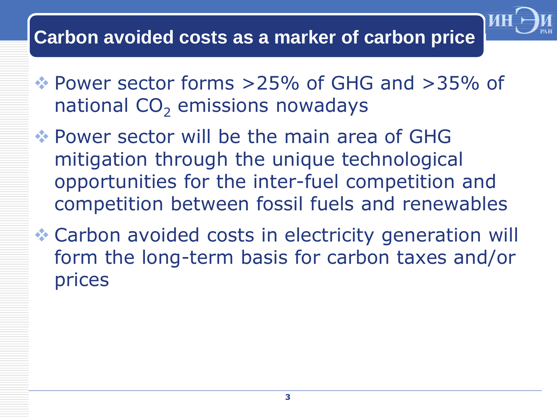## **Carbon avoided costs as a marker of carbon price**

 Power sector forms >25% of GHG and >35% of national  $CO<sub>2</sub>$  emissions nowadays

**LO** 

- Power sector will be the main area of GHG mitigation through the unique technological opportunities for the inter-fuel competition and competition between fossil fuels and renewables
- Carbon avoided costs in electricity generation will form the long-term basis for carbon taxes and/or prices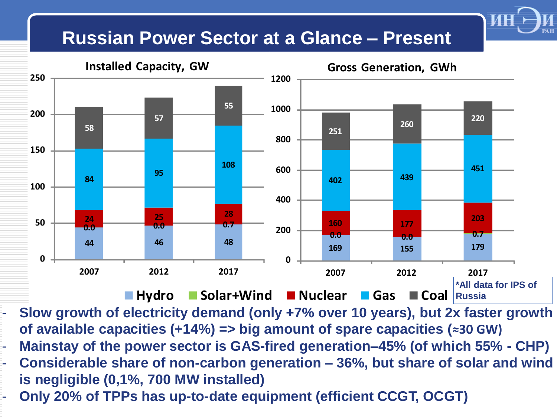## **Russian Power Sector at a Glance – Present**



**LOGO** 

**4** - **Only 20% of TPPs has up-to-date equipment (efficient CCGT, OCGT)** - **Slow growth of electricity demand (only +7% over 10 years), but 2x faster growth of available capacities (+14%) => big amount of spare capacities (≈30 GW)** - **Mainstay of the power sector is GAS-fired generation–45% (of which 55% - CHP)** - **Considerable share of non-carbon generation – 36%, but share of solar and wind is negligible (0,1%, 700 MW installed)**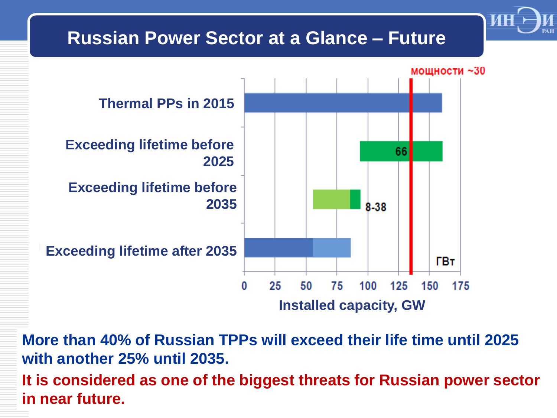

**More than 40% of Russian TPPs will exceed their life time until 2025 with another 25% until 2035. It is considered as one of the biggest threats for Russian power sector in near future.**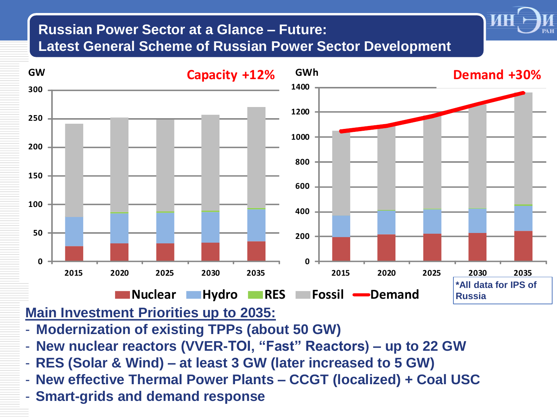#### **Russian Power Sector at a Glance – Future: Latest General Scheme of Russian Power Sector Development**



**LOGO** 

#### **Main Investment Priorities up to 2035:**

- **Modernization of existing TPPs (about 50 GW)**
- **New nuclear reactors (VVER-TOI, "Fast" Reactors) – up to 22 GW**
- **RES (Solar & Wind) – at least 3 GW (later increased to 5 GW)**
- **New effective Thermal Power Plants – CCGT (localized) + Coal USC**
- **Smart-grids and demand response**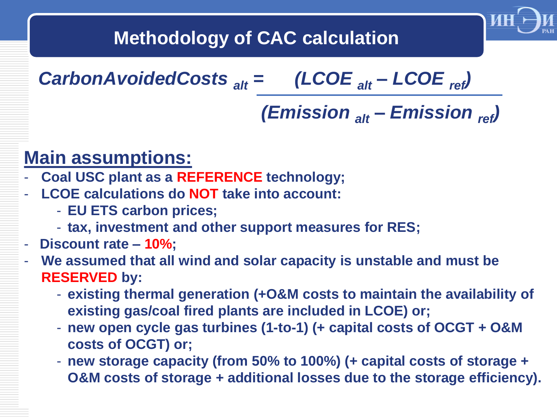

## **Methodology of CAC calculation**

*CarbonAvoidedCosts alt = (LCOE alt – LCOE ref)* 

# *(Emission alt – Emission ref)*

## **Main assumptions:**

- **Coal USC plant as a REFERENCE technology;**
- **LCOE calculations do NOT take into account:**
	- **EU ETS carbon prices;**
	- **tax, investment and other support measures for RES;**

#### - **Discount rate – 10%;**

- **We assumed that all wind and solar capacity is unstable and must be RESERVED by:**
	- **existing thermal generation (+O&M costs to maintain the availability of existing gas/coal fired plants are included in LCOE) or;**
	- **new open cycle gas turbines (1-to-1) (+ capital costs of OCGT + O&M costs of OCGT) or;**
	- **new storage capacity (from 50% to 100%) (+ capital costs of storage + O&M costs of storage + additional losses due to the storage efficiency).**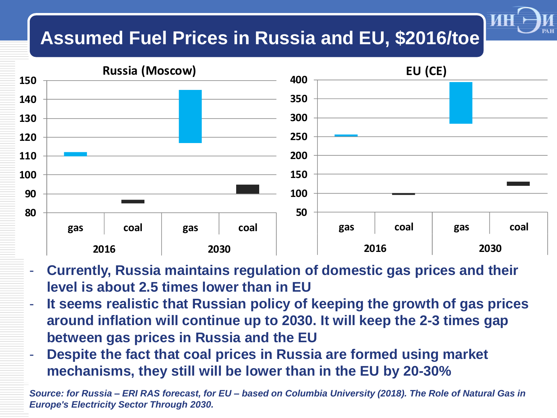## **Assumed Fuel Prices in Russia and EU, \$2016/toe**



**LOGO** 

- **Currently, Russia maintains regulation of domestic gas prices and their level is about 2.5 times lower than in EU**
- **It seems realistic that Russian policy of keeping the growth of gas prices around inflation will continue up to 2030. It will keep the 2-3 times gap between gas prices in Russia and the EU**
- **Despite the fact that coal prices in Russia are formed using market mechanisms, they still will be lower than in the EU by 20-30%**

**8** *Source: for Russia – ERI RAS forecast, for EU – based on Columbia University (2018). The Role of Natural Gas in Europe's Electricity Sector Through 2030.*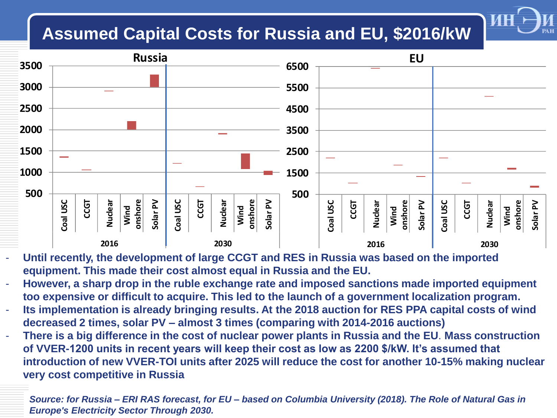### **Assumed Capital Costs for Russia and EU, \$2016/kW**



**LOGO** 

- Until recently, the development of large CCGT and RES in Russia was based on the imported **equipment. This made their cost almost equal in Russia and the EU.**
- **However, a sharp drop in the ruble exchange rate and imposed sanctions made imported equipment too expensive or difficult to acquire. This led to the launch of a government localization program.**
- **Its implementation is already bringing results. At the 2018 auction for RES PPA capital costs of wind decreased 2 times, solar PV – almost 3 times (comparing with 2014-2016 auctions)**
- **There is a big difference in the cost of nuclear power plants in Russia and the EU**. **Mass construction of VVER-1200 units in recent years will keep their cost as low as 2200 \$/kW. It's assumed that introduction of new VVER-TOI units after 2025 will reduce the cost for another 10-15% making nuclear very cost competitive in Russia**

**9** *Source: for Russia – ERI RAS forecast, for EU – based on Columbia University (2018). The Role of Natural Gas in Europe's Electricity Sector Through 2030.*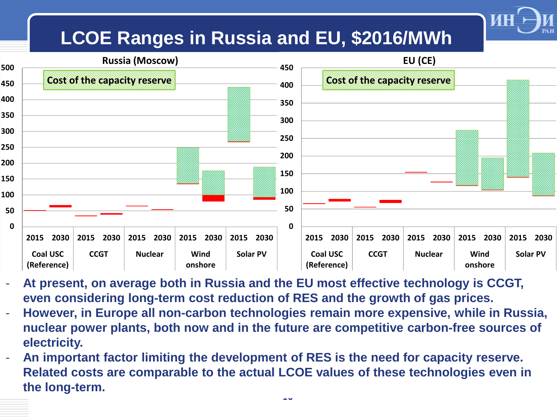## **LCOE Ranges in Russia and EU, \$2016/MWh**

**LOGO** 



- **At present, on average both in Russia and the EU most effective technology is CCGT, even considering long-term cost reduction of RES and the growth of gas prices.**
- **However, in Europe all non-carbon technologies remain more expensive, while in Russia, nuclear power plants, both now and in the future are competitive carbon-free sources of electricity.**
- **An important factor limiting the development of RES is the need for capacity reserve. Related costs are comparable to the actual LCOE values of these technologies even in the long-term.**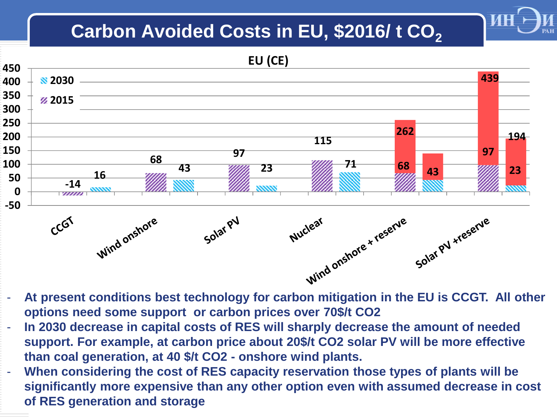## Carbon Avoided Costs in EU, \$2016/t CO<sub>2</sub>

**LOGO** 



**options need some support or carbon prices over 70\$/t CO2**

- In 2030 decrease in capital costs of RES will sharply decrease the amount of needed **support. For example, at carbon price about 20\$/t CO2 solar PV will be more effective than coal generation, at 40 \$/t CO2 - onshore wind plants.**
- When considering the cost of RES capacity reservation those types of plants will be **significantly more expensive than any other option even with assumed decrease in cost of RES generation and storage**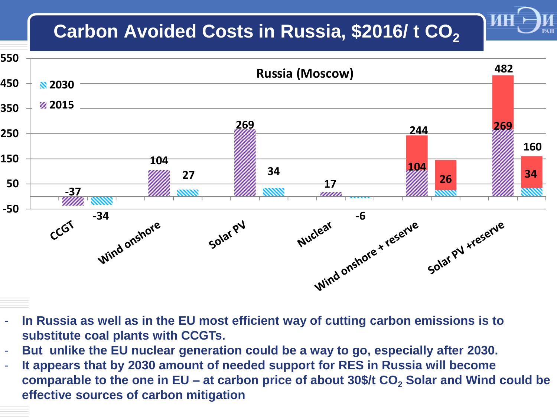## Carbon Avoided Costs in Russia, \$2016/ t CO<sub>2</sub>

**LOGO** 



- In Russia as well as in the EU most efficient way of cutting carbon emissions is to **substitute coal plants with CCGTs.**
- **But unlike the EU nuclear generation could be a way to go, especially after 2030.**
- **It appears that by 2030 amount of needed support for RES in Russia will become comparable to the one in EU – at carbon price of about 30\$/t CO<sup>2</sup> Solar and Wind could be**